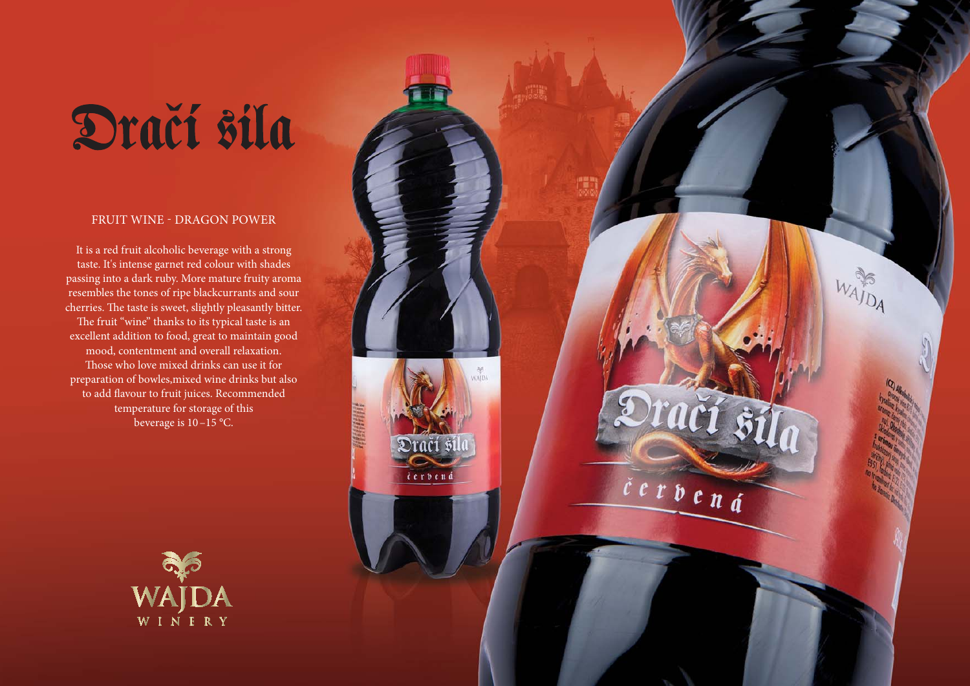## Dračí sila

## FRUIT WINE - DRAGON POWER

It is a red fruit alcoholic beverage with a strong taste. It's intense garnet red colour with shades passing into a dark ruby. More mature fruity aroma resembles the tones of ripe blackcurrants and sour cherries. The taste is sweet, slightly pleasantly bitter. The fruit "wine" thanks to its typical taste is an excellent addition to food, great to maintain good mood, contentment and overall relaxation. Those who love mixed drinks can use it for preparation of bowles,mixed wine drinks but also to add flavour to fruit juices. Recommended temperature for storage of this beverage is 10 –15 °C.